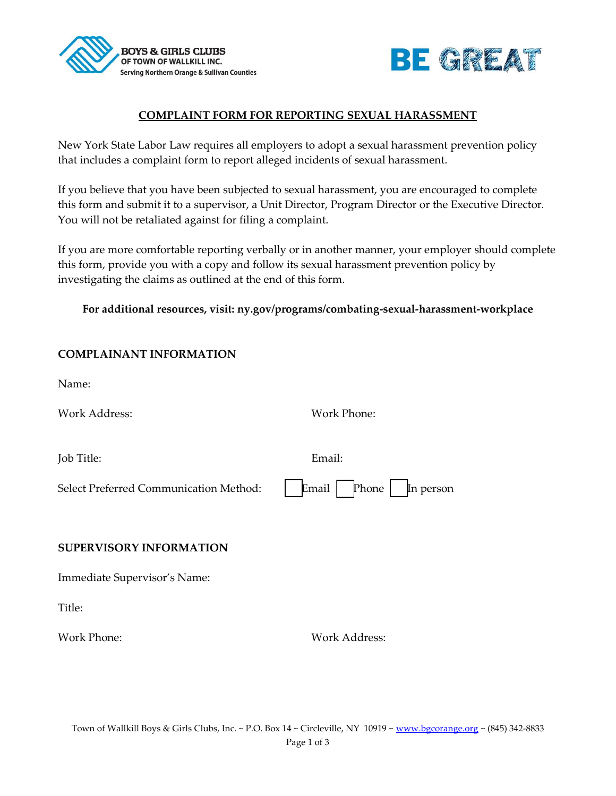



## **COMPLAINT FORM FOR REPORTING SEXUAL HARASSMENT**

New York State Labor Law requires all employers to adopt a sexual harassment prevention policy that includes a complaint form to report alleged incidents of sexual harassment.

If you believe that you have been subjected to sexual harassment, you are encouraged to complete this form and submit it to a supervisor, a Unit Director, Program Director or the Executive Director*.* You will not be retaliated against for filing a complaint.

If you are more comfortable reporting verbally or in another manner, your employer should complete this form, provide you with a copy and follow its sexual harassment prevention policy by investigating the claims as outlined at the end of this form.

## **For additional resources, visit: ny.gov/programs/combating-sexual-harassment-workplace**

| <b>COMPLAINANT INFORMATION</b>         |                             |
|----------------------------------------|-----------------------------|
| Name:                                  |                             |
| <b>Work Address:</b>                   | <b>Work Phone:</b>          |
|                                        |                             |
| Job Title:                             | Email:                      |
| Select Preferred Communication Method: | Email<br>Phone<br>In person |
|                                        |                             |
| <b>SUPERVISORY INFORMATION</b>         |                             |
| Immediate Supervisor's Name:           |                             |
| Title:                                 |                             |
| <b>Work Phone:</b>                     | <b>Work Address:</b>        |
|                                        |                             |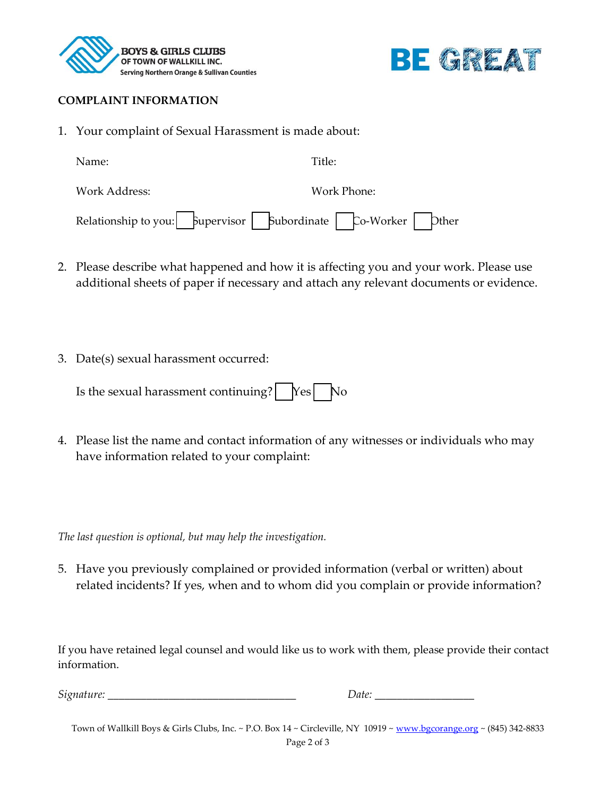



## **COMPLAINT INFORMATION**

1. Your complaint of Sexual Harassment is made about:

| Name:                                                               |             | Title: |  |  |
|---------------------------------------------------------------------|-------------|--------|--|--|
| Work Address:                                                       | Work Phone: |        |  |  |
| Relationship to you:   Supervisor   Subordinate   Co-Worker   Dther |             |        |  |  |

- 2. Please describe what happened and how it is affecting you and your work. Please use additional sheets of paper if necessary and attach any relevant documents or evidence.
- 3. Date(s) sexual harassment occurred:

| Is the sexual harassment continuing? $\log_{10}$ No |  |  |
|-----------------------------------------------------|--|--|
|-----------------------------------------------------|--|--|

4. Please list the name and contact information of any witnesses or individuals who may have information related to your complaint:

*The last question is optional, but may help the investigation.*

5. Have you previously complained or provided information (verbal or written) about related incidents? If yes, when and to whom did you complain or provide information?

If you have retained legal counsel and would like us to work with them, please provide their contact information.

*Signature: \_\_\_\_\_\_\_\_\_\_\_\_\_\_\_\_\_\_\_\_\_\_\_\_\_\_\_\_\_\_\_\_\_\_ Date: \_\_\_\_\_\_\_\_\_\_\_\_\_\_\_\_\_\_*

Town of Wallkill Boys & Girls Clubs, Inc. ~ P.O. Box 14 ~ Circleville, NY 10919 [~ www.bgcorange.org](http://www.bgcorange.org/) ~ (845) 342-8833